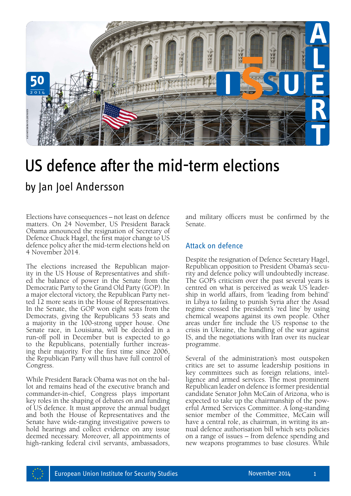

# US defence after the mid-term elections

Elections have consequences – not least on defence matters. On 24 November, US President Barack Obama announced the resignation of Secretary of Defence Chuck Hagel, the first major change to US defence policy after the mid-term elections held on 4 November 2014.

The elections increased the Republican majority in the US House of Representatives and shifted the balance of power in the Senate from the Democratic Party to the Grand Old Party (GOP). In a major electoral victory, the Republican Party netted 12 more seats in the House of Representatives. In the Senate, the GOP won eight seats from the Democrats, giving the Republicans 53 seats and a majority in the 100-strong upper house. One Senate race, in Louisiana, will be decided in a run-off poll in December but is expected to go to the Republicans, potentially further increasing their majority. For the first time since 2006, the Republican Party will thus have full control of Congress.

While President Barack Obama was not on the bal- lot and remains head of the executive branch and commander-in-chief, Congress plays important key roles in the shaping of debates on and funding of US defence. It must approve the annual budget and both the House of Representatives and the Senate have wide-ranging investigative powers to hold hearings and collect evidence on any issue deemed necessary. Moreover, all appointments of high-ranking federal civil servants, ambassadors, and military officers must be confirmed by the Senate.

### Attack on defence

Despite the resignation of Defence Secretary Hagel, Republican opposition to President Obama's security and defence policy will undoubtedly increase. The GOP's criticism over the past several years is centred on what is perceived as weak US leadership in world affairs, from 'leading from behind' in Libya to failing to punish Syria after the Assad regime crossed the president's 'red line' by using chemical weapons against its own people. Other areas under fire include the US response to the crisis in Ukraine, the handling of the war against IS, and the negotiations with Iran over its nuclear programme.

Several of the administration's most outspoken critics are set to assume leadership positions in key committees such as foreign relations, intelligence and armed services. The most prominent Republican leader on defence is former presidential candidate Senator John McCain of Arizona, who is expected to take up the chairmanship of the powerful Armed Services Committee. A long-standing senior member of the Committee, McCain will have a central role, as chairman, in writing its annual defence authorisation bill which sets policies on a range of issues – from defence spending and new weapons programmes to base closures. While